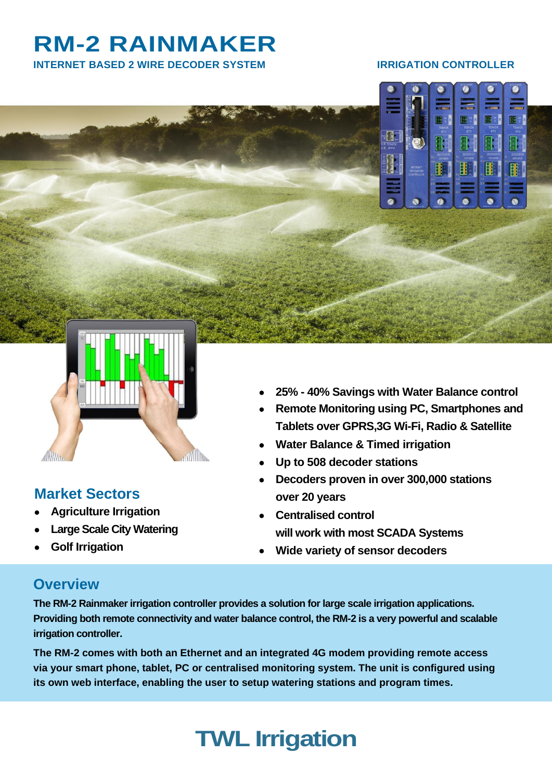# **RM-2 RAINMAKER**

**INTERNET BASED 2 WIRE DECODER SYSTEM IRRIGATION CONTROLLER**





### **Market Sectors**

- **Agriculture Irrigation**
- **Large Scale City Watering**
- **Golf Irrigation**
- **25% - 40% Savings with Water Balance control**
- **Remote Monitoring using PC, Smartphones and Tablets over GPRS,3G Wi-Fi, Radio & Satellite**
- **Water Balance & Timed irrigation**
- **Up to 508 decoder stations**
- **Decoders proven in over 300,000 stations over 20 years**
- **Centralised control will work with most SCADA Systems**
- **Wide variety of sensor decoders**

### **Overview**

**The RM-2 Rainmaker irrigation controller provides a solution for large scale irrigation applications. Providing both remote connectivity and water balance control, the RM-2 is a very powerful and scalable irrigation controller.**

**The RM-2 comes with both an Ethernet and an integrated 4G modem providing remote access via your smart phone, tablet, PC or centralised monitoring system. The unit is configured using its own web interface, enabling the user to setup watering stations and program times.**

# **TWL Irrigation**